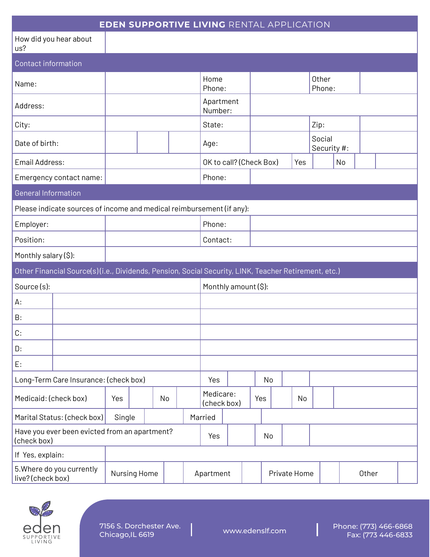| <b>EDEN SUPPORTIVE LIVING RENTAL APPLICATION</b>                                                     |              |    |        |                      |                          |    |    |              |  |     |                       |    |       |  |  |
|------------------------------------------------------------------------------------------------------|--------------|----|--------|----------------------|--------------------------|----|----|--------------|--|-----|-----------------------|----|-------|--|--|
| How did you hear about<br>us?                                                                        |              |    |        |                      |                          |    |    |              |  |     |                       |    |       |  |  |
| <b>Contact information</b>                                                                           |              |    |        |                      |                          |    |    |              |  |     |                       |    |       |  |  |
| Name:                                                                                                |              |    |        |                      | Home<br>Phone:           |    |    |              |  |     | Other<br>Phone:       |    |       |  |  |
| Address:                                                                                             |              |    |        |                      | Apartment<br>Number:     |    |    |              |  |     |                       |    |       |  |  |
| City:                                                                                                |              |    |        |                      | State:                   |    |    |              |  |     | Zip:                  |    |       |  |  |
| Date of birth:                                                                                       |              |    |        |                      | Age:                     |    |    |              |  |     | Social<br>Security #: |    |       |  |  |
| Email Address:                                                                                       |              |    |        |                      | OK to call? (Check Box)  |    |    |              |  | Yes |                       | No |       |  |  |
| Emergency contact name:                                                                              |              |    |        |                      | Phone:                   |    |    |              |  |     |                       |    |       |  |  |
| <b>General Information</b>                                                                           |              |    |        |                      |                          |    |    |              |  |     |                       |    |       |  |  |
| Please indicate sources of income and medical reimbursement (if any):                                |              |    |        |                      |                          |    |    |              |  |     |                       |    |       |  |  |
| Employer:                                                                                            |              |    | Phone: |                      |                          |    |    |              |  |     |                       |    |       |  |  |
| Position:                                                                                            |              |    |        |                      | Contact:                 |    |    |              |  |     |                       |    |       |  |  |
| Monthly salary (\$):                                                                                 |              |    |        |                      |                          |    |    |              |  |     |                       |    |       |  |  |
| Other Financial Source(s)(i.e., Dividends, Pension, Social Security, LINK, Teacher Retirement, etc.) |              |    |        |                      |                          |    |    |              |  |     |                       |    |       |  |  |
| Source(s):                                                                                           |              |    |        | Monthly amount (\$): |                          |    |    |              |  |     |                       |    |       |  |  |
| А:                                                                                                   |              |    |        |                      |                          |    |    |              |  |     |                       |    |       |  |  |
| B:                                                                                                   |              |    |        |                      |                          |    |    |              |  |     |                       |    |       |  |  |
| C:                                                                                                   |              |    |        |                      |                          |    |    |              |  |     |                       |    |       |  |  |
| D:                                                                                                   |              |    |        |                      |                          |    |    |              |  |     |                       |    |       |  |  |
| E:                                                                                                   |              |    |        |                      |                          |    |    |              |  |     |                       |    |       |  |  |
| Long-Term Care Insurance: (check box)                                                                |              |    |        | Yes                  |                          |    | No |              |  |     |                       |    |       |  |  |
| Medicaid: (check box)                                                                                | Yes          | No |        |                      | Medicare:<br>(check box) |    |    | Yes          |  | No  |                       |    |       |  |  |
| Marital Status: (check box)<br>Single                                                                |              |    |        |                      | Married                  |    |    |              |  |     |                       |    |       |  |  |
| Have you ever been evicted from an apartment?<br>(check box)                                         |              |    | Yes    |                      |                          | No |    |              |  |     |                       |    |       |  |  |
| If Yes, explain:                                                                                     |              |    |        |                      |                          |    |    |              |  |     |                       |    |       |  |  |
| 5. Where do you currently<br>live? (check box)                                                       | Nursing Home |    |        |                      | Apartment                |    |    | Private Home |  |     |                       |    | Other |  |  |



Ī